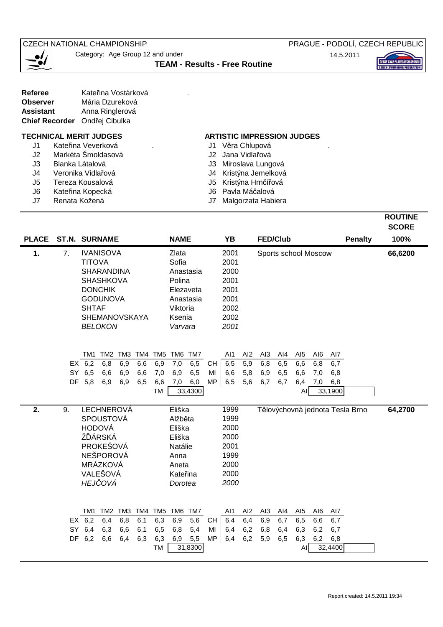**CZECH NATIONAL CHAMPIONSHIP** 

Category: Age Group 12 and under

PRAGUE - PODOLÍ, CZECH REPUBLIC

14.5.2011



| — <b>01</b> | <b>TEAM - Results - Free Routine</b> |
|-------------|--------------------------------------|
|             |                                      |

| <b>Referee</b>                | Kateřina Vostárková |  |
|-------------------------------|---------------------|--|
| <b>Observer</b>               | Mária Dzureková     |  |
| <b>Assistant</b>              | Anna Ringlerová     |  |
| Chief Recorder Ondřej Cibulka |                     |  |

- J1 Kateřina Veverková . Component v Měra Chlupová
- J2 Markéta Šmoldasová J2 Jana Vidlařová
- 
- 
- J5 Tereza Kousalová J5 Kristýna Hrnčířová
- J6 Kateřina Kopecká J6 Pavla Máčalová<br>J7 Renata Kožená J7 Malgorzata Habi
- 

## **TECHNICAL MERIT JUDGES ARTISTIC IMPRESSION JUDGES**

- 
- 
- J3 Blanka Látalová J3 Miroslava Lungová
- J4 Veronika Vidlařová J4 Kristýna Jemelková
	-
	-
- J7 Renata Kožená J7 Malgorzata Habiera

|    |                 |                                       |                         |            |                                             | <b>ROUTINE</b> |
|----|-----------------|---------------------------------------|-------------------------|------------|---------------------------------------------|----------------|
|    |                 |                                       |                         |            |                                             | <b>SCORE</b>   |
|    |                 | PLACE ST.N. SURNAME                   | <b>NAME</b>             | <b>YB</b>  | <b>FED/Club</b><br><b>Penalty</b>           | 100%           |
| 1. | 7.              | <b>IVANISOVA</b>                      | Zlata                   | 2001       | Sports school Moscow                        | 66,6200        |
|    |                 | <b>TITOVA</b>                         | Sofia                   | 2001       |                                             |                |
|    |                 | <b>SHARANDINA</b>                     | Anastasia               | 2000       |                                             |                |
|    |                 | <b>SHASHKOVA</b>                      | Polina                  | 2001       |                                             |                |
|    |                 | <b>DONCHIK</b>                        | Elezaveta               | 2001       |                                             |                |
|    |                 | <b>GODUNOVA</b>                       | Anastasia               | 2001       |                                             |                |
|    |                 | <b>SHTAF</b>                          | Viktoria                | 2002       |                                             |                |
|    |                 | SHEMANOVSKAYA                         | Ksenia                  | 2002       |                                             |                |
|    |                 | <b>BELOKON</b>                        | Varvara                 | 2001       |                                             |                |
|    |                 |                                       |                         |            |                                             |                |
|    |                 |                                       |                         |            |                                             |                |
|    |                 | TM2 TM3 TM4<br>TM <sub>5</sub><br>TM1 | TM <sub>6</sub><br>TM7  | AI1<br>AI2 | AI3<br>AI4<br>AI <sub>5</sub><br>AI6<br>AI7 |                |
|    | EX <sup>1</sup> | 6,2<br>6,8<br>6,6<br>6,9<br>6,9       | 7,0<br>6,5<br><b>CH</b> | 6,5<br>5,9 | 6,6<br>6,8<br>6,5<br>6,8<br>6,7             |                |
|    | SY              | 6,5<br>6,6<br>6,9<br>6,6<br>7,0       | 6,9<br>6,5<br>MI        | 6,6<br>5,8 | 6,5<br>6,6<br>6,9<br>7,0<br>6,8             |                |
|    | <b>DFI</b>      | 5,8<br>6,9<br>6,5<br>6,6<br>6,9       | 6,0<br><b>MP</b><br>7,0 | 6,5<br>5,6 | 6,8<br>6.7<br>6.7<br>6,4<br>7,0             |                |
|    |                 | <b>TM</b>                             | 33,4300                 |            | 33,1900<br>AI                               |                |
| 2. | 9.              | <b>LECHNEROVÁ</b>                     | Eliška                  | 1999       | Tělovýchovná jednota Tesla Brno             | 64,2700        |
|    |                 | <b>SPOUSTOVÁ</b>                      | Alžběta                 | 1999       |                                             |                |
|    |                 | <b>HODOVÁ</b>                         | Eliška                  | 2000       |                                             |                |
|    |                 | ŽĎÁRSKÁ                               | Eliška                  | 2000       |                                             |                |
|    |                 | PROKEŠOVÁ                             | Natálie                 | 2001       |                                             |                |
|    |                 | NEŠPOROVÁ                             | Anna                    | 1999       |                                             |                |
|    |                 | MRÁZKOVÁ                              | Aneta                   | 2000       |                                             |                |
|    |                 | VALEŠOVÁ                              | Kateřina                | 2000       |                                             |                |
|    |                 | HEJČOVÁ                               | Dorotea                 | 2000       |                                             |                |
|    |                 |                                       |                         |            |                                             |                |
|    |                 |                                       |                         |            |                                             |                |
|    |                 | TM2 TM3 TM4<br>TM <sub>5</sub><br>TM1 | TM <sub>6</sub><br>TM7  | AI2<br>AI1 | AI3<br>AI4<br>AI <sub>5</sub><br>AI6<br>AI7 |                |
|    | EX              | 6,2<br>6,4<br>6,8<br>6,1<br>6,3       | 6,9<br>5,6<br><b>CH</b> | 6,4<br>6,4 | 6,9<br>6,7<br>6,5<br>6,6<br>6,7             |                |
|    | SY              | 6,4<br>6,3<br>6,6<br>6,5<br>6,1       | 6,8<br>5,4<br>MI        | 6,4<br>6,2 | 6,3<br>6,2<br>6,8<br>6,4<br>6,7             |                |
|    | DF              | 6,2<br>6,6<br>6,3<br>6,3<br>6,4       | 6,9<br>5,5<br><b>MP</b> | 6,4<br>6,2 | 6,2<br>5,9<br>6,5<br>6,3<br>6,8             |                |
|    |                 | TM                                    | 31,8300                 |            | 32,4400<br>Al                               |                |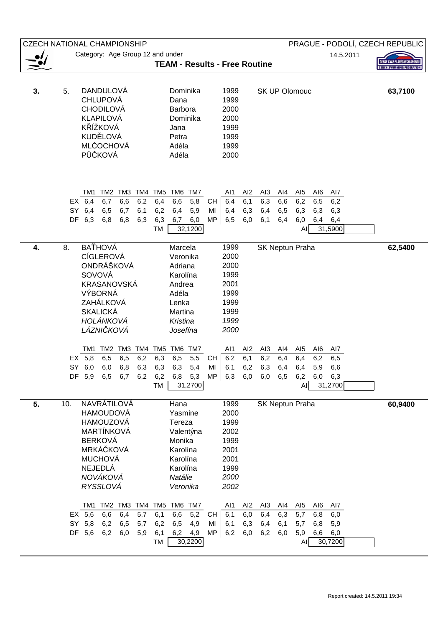|    | PRAGUE - PODOLÍ, CZECH REPUBLIC<br><b>CZECH NATIONAL CHAMPIONSHIP</b>                                                                                                                                                                                                                                                                                                                                                                                                                                                                |                                  |
|----|--------------------------------------------------------------------------------------------------------------------------------------------------------------------------------------------------------------------------------------------------------------------------------------------------------------------------------------------------------------------------------------------------------------------------------------------------------------------------------------------------------------------------------------|----------------------------------|
|    | Category: Age Group 12 and under<br>14.5.2011                                                                                                                                                                                                                                                                                                                                                                                                                                                                                        | ESKÝ SVAZ PLAVECKÝCH SPOR        |
|    | <b>TEAM - Results - Free Routine</b>                                                                                                                                                                                                                                                                                                                                                                                                                                                                                                 | <b>CZECH SWIMMING FEDERATION</b> |
| 3. | <b>DANDULOVÁ</b><br>1999<br>5.<br>Dominika<br><b>SK UP Olomouc</b><br><b>CHLUPOVÁ</b><br>1999<br>Dana<br><b>CHODILOVÁ</b><br>2000<br>Barbora<br><b>KLAPILOVÁ</b><br>2000<br>Dominika<br>KŘÍŽKOVÁ<br>1999<br>Jana<br>KUDĚLOVÁ<br>1999<br>Petra<br><b>MLČOCHOVÁ</b><br>Adéla<br>1999<br>PŮČKOVÁ<br>2000<br>Adéla                                                                                                                                                                                                                       | 63,7100                          |
|    | TM4<br>TM <sub>5</sub><br>TM6<br>TM7<br>AI2<br>TM <sub>2</sub><br>TM3<br>AI1<br>AI3<br>AI4<br>AI <sub>5</sub><br>AI6<br>AI7<br>TM1<br>6,4<br>6,7<br>6,6<br>6,2<br>6,4<br>6,6<br>5,8<br>6,4<br>6,1<br>6,3<br>6,6<br>EXI<br>СH<br>6,2<br>6,5<br>6,2<br><b>SY</b><br>6,4<br>6,5<br>6,7<br>6,1<br>6,2<br>6,4<br>5,9<br>6,4<br>6,3<br>6,4<br>MI<br>6,5<br>6,3<br>6,3<br>6,3<br><b>DF</b><br>6,3<br>6,8<br>6,8<br>6,3<br>6,3<br>6,7<br>MP<br>6,5<br>6,0<br>6,1<br>6,0<br>6,0<br>6,4<br>6,4<br>6,4<br>32,1200<br>31,5900<br><b>TM</b><br>AI |                                  |
| 4. | <b>BATHOVÁ</b><br>8.<br>1999<br>SK Neptun Praha<br>Marcela<br><b>CÍGLEROVÁ</b><br>2000<br>Veronika<br>ONDRÁŠKOVÁ<br>2000<br>Adriana<br>SOVOVÁ<br>1999<br>Karolína<br><b>KRASANOVSKÁ</b><br>2001<br>Andrea<br>VÝBORNÁ<br>Adéla<br>1999<br>ZAHÁLKOVÁ<br>1999<br>Lenka<br><b>SKALICKÁ</b><br>1999<br>Martina<br>HOLÁNKOVÁ<br>1999<br>Kristina<br>LÁZNIČKOVÁ<br>2000<br>Josefína                                                                                                                                                         | 62,5400                          |
|    | TM6 TM7<br>TM1 TM2 TM3 TM4 TM5<br>AI1<br>AI <sub>2</sub><br>AI <sub>3</sub><br>AI4<br>AI6<br>AI5<br>AI7<br>6,2<br>5,8<br>6,5<br>6,5<br>6,2<br>6,3<br>6,5<br>5,5<br>6,1<br>6,2<br>6,4<br>6,2<br>6,5<br>EX<br>CH<br>6,4<br>$SY$ 6,0<br>6,0<br>6,8<br>6,3<br>6,3<br>6,3<br>5,4<br>MI<br>6,1<br>6,2<br>6,3<br>6,4<br>6,4<br>5,9<br>6,6<br>DF  5,9<br>6,5<br>6,2<br>6,2<br><b>MP</b><br>6,3<br>6,0<br>6,2<br>6,7<br>6,8<br>5,3<br>6,0<br>6,5<br>6,0<br>6,3<br>31,2700<br>31,2700<br>TM<br>AI                                              |                                  |
| 5. | NAVRÁTILOVÁ<br>1999<br>Hana<br>SK Neptun Praha<br>10.<br>2000<br><b>HAMOUDOVÁ</b><br>Yasmine<br><b>HAMOUZOVÁ</b><br>1999<br>Tereza<br>MARTÍNKOVÁ<br>2002<br>Valentýna<br>1999<br><b>BERKOVÁ</b><br>Monika<br>MRKÁČKOVÁ<br>2001<br>Karolína<br><b>MUCHOVÁ</b><br>2001<br>Karolína<br>NEJEDLÁ<br>1999<br>Karolína<br>NOVÁKOVÁ<br>2000<br>Natálie<br>RYSSLOVÁ<br>2002<br>Veronika                                                                                                                                                       | 60,9400                          |
|    | TM2 TM3 TM4 TM5<br>TM6 TM7<br>AI <sub>2</sub><br>AI6<br>TM1<br>AI1<br>AI <sub>3</sub><br>Al4<br>AI <sub>5</sub><br>Al7<br>5,6<br>6,6<br>6,4<br>6,1<br>6,6<br>5,2<br>6,1<br>6,4<br>5,7<br>6,0<br>6,3<br>5,7<br>6,8<br>6,0<br>EX<br>СH<br>SY<br>6,2<br>5,8<br>6,5<br>5,7<br>6,2<br>6,5<br>4,9<br>6,1<br>6,3<br>6,4<br>6,1<br>5,9<br>MI<br>5,7<br>6,8<br>DF<br>5,6<br>6,2<br>${\sf MP}$<br>6,2<br>6,0<br>5,9<br>6,1<br>6,2<br>6,0<br>6,2<br>6,0<br>5,9<br>6,6<br>6,0<br>4,9<br>30,2200<br>30,7200<br>TM<br>Al                           |                                  |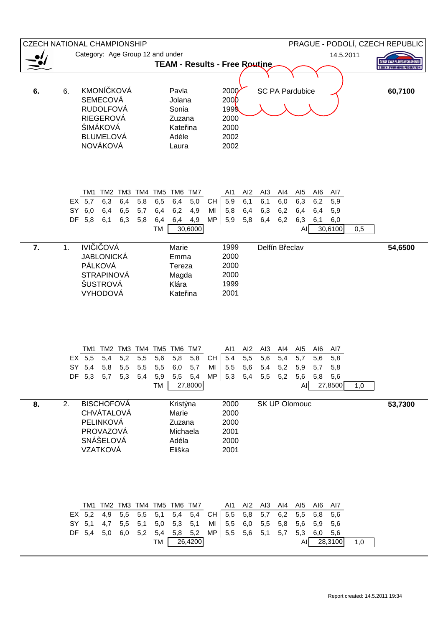|    | <b>CZECH NATIONAL CHAMPIONSHIP</b>                                                                                                                                                                                                       | PRAGUE - PODOLÍ, CZECH REPUBLIC                                                                                                                                                                                                                                                                       |
|----|------------------------------------------------------------------------------------------------------------------------------------------------------------------------------------------------------------------------------------------|-------------------------------------------------------------------------------------------------------------------------------------------------------------------------------------------------------------------------------------------------------------------------------------------------------|
|    | Category: Age Group 12 and under                                                                                                                                                                                                         | 14.5.2011                                                                                                                                                                                                                                                                                             |
|    |                                                                                                                                                                                                                                          | <b>CESKY SVAZ PLAVECKYCH</b><br><b>TEAM - Results - Free Routine</b><br><b>CZECH SWIMMING FEDERATION</b>                                                                                                                                                                                              |
| 6. | <b>KMONÍČKOVÁ</b><br>6.<br>Pavla<br><b>SEMECOVÁ</b><br>Jolana<br><b>RUDOLFOVÁ</b><br>Sonia<br><b>RIEGEROVÁ</b><br>Zuzana<br>ŠIMÁKOVÁ<br>Kateřina<br><b>BLUMELOVÁ</b><br>Adéle<br>NOVÁKOVÁ<br>Laura                                       | 200 <sub>0</sub><br><b>SC PA Pardubice</b><br>60,7100<br>200 <sub>b</sub><br>1999<br>2000<br>2000<br>2002<br>2002                                                                                                                                                                                     |
|    | TM2 TM3 TM4 TM5<br>TM6<br>TM7<br>TM1<br>5,7<br>6,3<br>6,5<br>6,4<br>EX<br>6,4<br>5,8<br>SY<br>6,0<br>6,4<br>5,7<br>6,2<br>6,5<br>6,4<br>$DF \vert 5,8$<br>6,4<br>6,1<br>6,3<br>5,8<br>6,4<br>30,6000<br><b>TM</b>                        | AI2<br>AI <sub>5</sub><br>AI6<br>AI1<br>AI <sub>3</sub><br>Al4<br>Al7<br>5,0<br>5,9<br>6,1<br>6,2<br>6,1<br>6,0<br>6,3<br>5,9<br><b>CH</b><br>4,9<br>5,8<br>6,4<br>6,3<br>6,2<br>6,4<br>6,4<br>5,9<br>MI<br><b>MP</b><br>5,9<br>5,8<br>4,9<br>6,4<br>6,2<br>6,3<br>6,1<br>6,0<br>30,6100<br>0,5<br>AI |
| 7. | <b>IVIČIČOVÁ</b><br>1.<br>Marie<br><b>JABLONICKÁ</b><br>Emma<br>PÁLKOVÁ<br>Tereza<br><b>STRAPINOVÁ</b><br>Magda<br><b>ŠUSTROVÁ</b><br>Klára<br>VYHODOVÁ<br>Kateřina                                                                      | 1999<br>Delfín Břeclav<br>54,6500<br>2000<br>2000<br>2000<br>1999<br>2001                                                                                                                                                                                                                             |
|    | TM2 TM3 TM4 TM5 TM6<br>TM7<br>TM1<br>$EX$ 5,5<br>5,4<br>5,2<br>5,5<br>5,6<br>5,8<br>SY<br>5,4<br>5,5<br>5,8<br>5,5<br>5,5<br>6,0<br>$DF$ 5,3 5,7 5,3<br>5,4<br>5,9<br>5,5 5,4<br>27,8000<br><b>TM</b>                                    | AI2<br>AI <sub>3</sub><br>Al1<br>Al4<br>AI5<br>AI6<br>AI7<br>5,8<br>5,4<br>5,5<br>5,6<br>5,4<br>5,7<br>5,6<br>5,8<br>CH<br>5,7<br>5,5<br>56<br>5,2<br>5,7<br>MI<br>5,4<br>5,9<br>5,8<br>MP<br>5,3<br>5,4<br>5,5<br>5,2<br>5,6<br>5,8<br>5,6<br>27,8500<br>AI<br>1,0                                   |
| 8. | <b>BISCHOFOVÁ</b><br>Kristýna<br>2.<br><b>CHVÁTALOVÁ</b><br>Marie<br>PELINKOVÁ<br>Zuzana<br>PROVAZOVÁ<br>Michaela<br>SNÁŠELOVÁ<br>Adéla<br>VZATKOVÁ<br>Eliška                                                                            | 2000<br>53,7300<br><b>SK UP Olomouc</b><br>2000<br>2000<br>2001<br>2000<br>2001                                                                                                                                                                                                                       |
|    | TM2 TM3 TM4 TM5<br>TM <sub>6</sub><br>TM7<br>TM1<br>$EX \mid 5,2$<br>5,1<br>5,4<br>4,9<br>5,5<br>5,5<br>SY<br>4,7<br>5,1<br>5,1<br>5,5<br>5,0<br>5,3<br>5,1<br>$DF \vert 5,4$<br>5,0<br>6,0<br>5,2<br>5,8<br>5,4<br>5,2<br>26,4200<br>TM | AI2<br>Al1<br>AI <sub>3</sub><br>AI4<br>AI <sub>5</sub><br>AI6<br>AI7<br>5,4<br>5,5<br>5,8<br>5,7<br>6,2<br>5,5<br>5,8<br>5,6<br>CH<br>6,0<br>5,5<br>5,5<br>5,8<br>5,6<br>5,9<br>5,6<br>MI<br>MP<br>5,5<br>5,6<br>5,1<br>5,7<br>5,3<br>6,0<br>5,6<br>28,3100<br>1,0<br>AI                             |